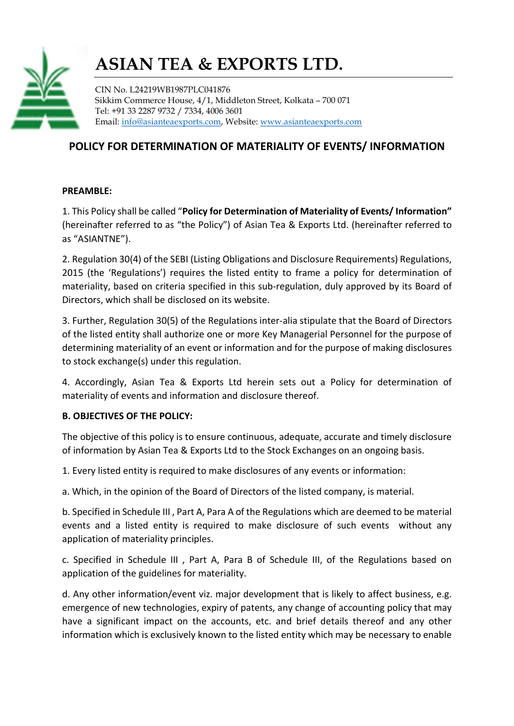

CIN No. L24219WB1987PLC041876 Sikkim Commerce House, 4/1, Middleton Street, Kolkata – 700 071 Tel: +91 33 2287 9732 / 7334, 4006 3601 Email: info@asianteaexports.com, Website: www.asianteaexports.com

### POLICY FOR DETERMINATION OF MATERIALITY OF EVENTS/ INFORMATION

#### PREAMBLE:

1. This Policy shall be called "Policy for Determination of Materiality of Events/ Information" (hereinafter referred to as "the Policy") of Asian Tea & Exports Ltd. (hereinafter referred to as "ASIANTNE").

2. Regulation 30(4) of the SEBI (Listing Obligations and Disclosure Requirements) Regulations, 2015 (the 'Regulations') requires the listed entity to frame a policy for determination of materiality, based on criteria specified in this sub-regulation, duly approved by its Board of Directors, which shall be disclosed on its website.

3. Further, Regulation 30(5) of the Regulations inter-alia stipulate that the Board of Directors of the listed entity shall authorize one or more Key Managerial Personnel for the purpose of determining materiality of an event or information and for the purpose of making disclosures to stock exchange(s) under this regulation.

4. Accordingly, Asian Tea & Exports Ltd herein sets out a Policy for determination of materiality of events and information and disclosure thereof.

#### B. OBJECTIVES OF THE POLICY:

The objective of this policy is to ensure continuous, adequate, accurate and timely disclosure of information by Asian Tea & Exports Ltd to the Stock Exchanges on an ongoing basis.

1. Every listed entity is required to make disclosures of any events or information:

a. Which, in the opinion of the Board of Directors of the listed company, is material.

b. Specified in Schedule III , Part A, Para A of the Regulations which are deemed to be material events and a listed entity is required to make disclosure of such events without any application of materiality principles.

c. Specified in Schedule III , Part A, Para B of Schedule III, of the Regulations based on application of the guidelines for materiality.

d. Any other information/event viz. major development that is likely to affect business, e.g. emergence of new technologies, expiry of patents, any change of accounting policy that may have a significant impact on the accounts, etc. and brief details thereof and any other information which is exclusively known to the listed entity which may be necessary to enable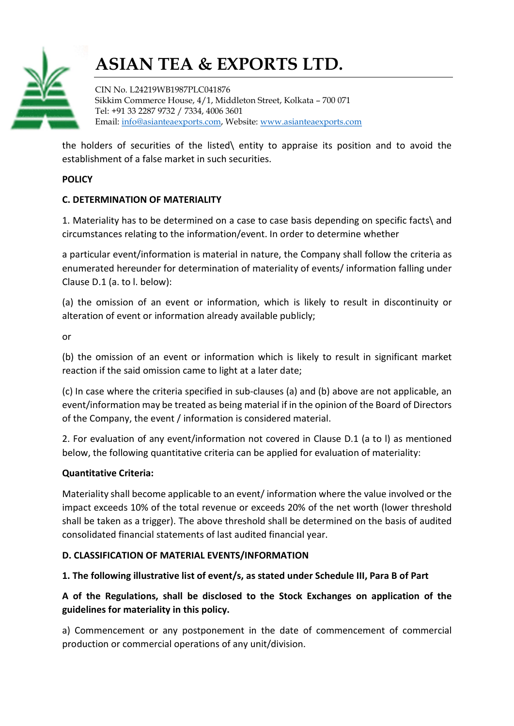

CIN No. L24219WB1987PLC041876 Sikkim Commerce House, 4/1, Middleton Street, Kolkata – 700 071 Tel: +91 33 2287 9732 / 7334, 4006 3601 Email: info@asianteaexports.com, Website: www.asianteaexports.com

the holders of securities of the listed\ entity to appraise its position and to avoid the establishment of a false market in such securities.

#### **POLICY**

#### C. DETERMINATION OF MATERIALITY

1. Materiality has to be determined on a case to case basis depending on specific facts\ and circumstances relating to the information/event. In order to determine whether

a particular event/information is material in nature, the Company shall follow the criteria as enumerated hereunder for determination of materiality of events/ information falling under Clause D.1 (a. to l. below):

(a) the omission of an event or information, which is likely to result in discontinuity or alteration of event or information already available publicly;

or

(b) the omission of an event or information which is likely to result in significant market reaction if the said omission came to light at a later date;

(c) In case where the criteria specified in sub-clauses (a) and (b) above are not applicable, an event/information may be treated as being material if in the opinion of the Board of Directors of the Company, the event / information is considered material.

2. For evaluation of any event/information not covered in Clause D.1 (a to l) as mentioned below, the following quantitative criteria can be applied for evaluation of materiality:

#### Quantitative Criteria:

Materiality shall become applicable to an event/ information where the value involved or the impact exceeds 10% of the total revenue or exceeds 20% of the net worth (lower threshold shall be taken as a trigger). The above threshold shall be determined on the basis of audited consolidated financial statements of last audited financial year.

#### D. CLASSIFICATION OF MATERIAL EVENTS/INFORMATION

### 1. The following illustrative list of event/s, as stated under Schedule III, Para B of Part

### A of the Regulations, shall be disclosed to the Stock Exchanges on application of the guidelines for materiality in this policy.

a) Commencement or any postponement in the date of commencement of commercial production or commercial operations of any unit/division.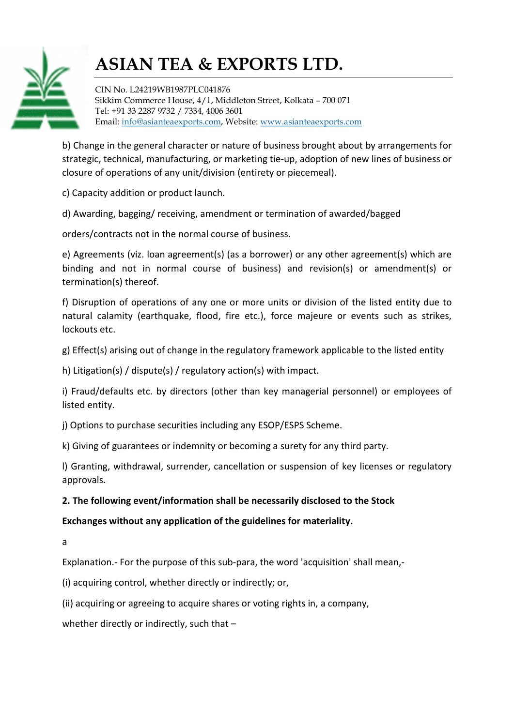

CIN No. L24219WB1987PLC041876 Sikkim Commerce House, 4/1, Middleton Street, Kolkata – 700 071 Tel: +91 33 2287 9732 / 7334, 4006 3601 Email: info@asianteaexports.com, Website: www.asianteaexports.com

b) Change in the general character or nature of business brought about by arrangements for strategic, technical, manufacturing, or marketing tie-up, adoption of new lines of business or closure of operations of any unit/division (entirety or piecemeal).

c) Capacity addition or product launch.

d) Awarding, bagging/ receiving, amendment or termination of awarded/bagged

orders/contracts not in the normal course of business.

e) Agreements (viz. loan agreement(s) (as a borrower) or any other agreement(s) which are binding and not in normal course of business) and revision(s) or amendment(s) or termination(s) thereof.

f) Disruption of operations of any one or more units or division of the listed entity due to natural calamity (earthquake, flood, fire etc.), force majeure or events such as strikes, lockouts etc.

g) Effect(s) arising out of change in the regulatory framework applicable to the listed entity

h) Litigation(s) / dispute(s) / regulatory action(s) with impact.

i) Fraud/defaults etc. by directors (other than key managerial personnel) or employees of listed entity.

j) Options to purchase securities including any ESOP/ESPS Scheme.

k) Giving of guarantees or indemnity or becoming a surety for any third party.

l) Granting, withdrawal, surrender, cancellation or suspension of key licenses or regulatory approvals.

### 2. The following event/information shall be necessarily disclosed to the Stock

### Exchanges without any application of the guidelines for materiality.

a

Explanation.- For the purpose of this sub-para, the word 'acquisition' shall mean,-

(i) acquiring control, whether directly or indirectly; or,

(ii) acquiring or agreeing to acquire shares or voting rights in, a company,

whether directly or indirectly, such that -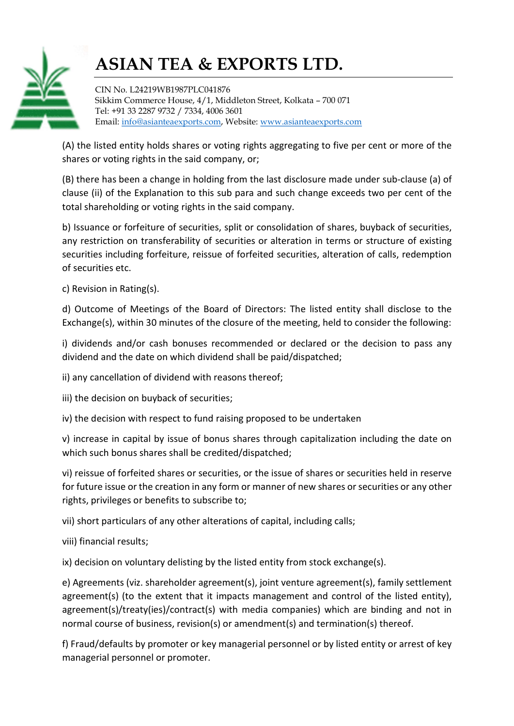

CIN No. L24219WB1987PLC041876 Sikkim Commerce House, 4/1, Middleton Street, Kolkata – 700 071 Tel: +91 33 2287 9732 / 7334, 4006 3601 Email: info@asianteaexports.com, Website: www.asianteaexports.com

(A) the listed entity holds shares or voting rights aggregating to five per cent or more of the shares or voting rights in the said company, or;

(B) there has been a change in holding from the last disclosure made under sub-clause (a) of clause (ii) of the Explanation to this sub para and such change exceeds two per cent of the total shareholding or voting rights in the said company.

b) Issuance or forfeiture of securities, split or consolidation of shares, buyback of securities, any restriction on transferability of securities or alteration in terms or structure of existing securities including forfeiture, reissue of forfeited securities, alteration of calls, redemption of securities etc.

c) Revision in Rating(s).

d) Outcome of Meetings of the Board of Directors: The listed entity shall disclose to the Exchange(s), within 30 minutes of the closure of the meeting, held to consider the following:

i) dividends and/or cash bonuses recommended or declared or the decision to pass any dividend and the date on which dividend shall be paid/dispatched;

ii) any cancellation of dividend with reasons thereof;

iii) the decision on buyback of securities;

iv) the decision with respect to fund raising proposed to be undertaken

v) increase in capital by issue of bonus shares through capitalization including the date on which such bonus shares shall be credited/dispatched;

vi) reissue of forfeited shares or securities, or the issue of shares or securities held in reserve for future issue or the creation in any form or manner of new shares or securities or any other rights, privileges or benefits to subscribe to;

vii) short particulars of any other alterations of capital, including calls;

viii) financial results;

ix) decision on voluntary delisting by the listed entity from stock exchange(s).

e) Agreements (viz. shareholder agreement(s), joint venture agreement(s), family settlement agreement(s) (to the extent that it impacts management and control of the listed entity), agreement(s)/treaty(ies)/contract(s) with media companies) which are binding and not in normal course of business, revision(s) or amendment(s) and termination(s) thereof.

f) Fraud/defaults by promoter or key managerial personnel or by listed entity or arrest of key managerial personnel or promoter.